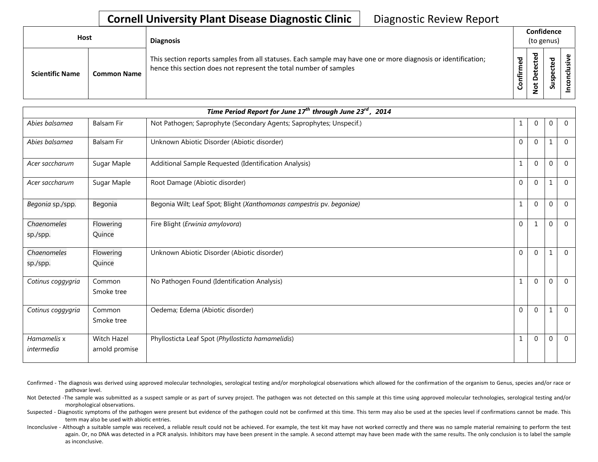| <b>Host</b> |                        |                    | <b>Diagnosis</b>                                                                                                                                                                   |                   | Confidence<br>(to genus)           |                                    |   |
|-------------|------------------------|--------------------|------------------------------------------------------------------------------------------------------------------------------------------------------------------------------------|-------------------|------------------------------------|------------------------------------|---|
|             | <b>Scientific Name</b> | <b>Common Name</b> | This section reports samples from all statuses. Each sample may have one or more diagnosis or identification;<br>hence this section does not represent the total number of samples | ᅙ<br>ς.<br>Ē<br>ပ | ъ<br>ဥ<br>ዴ<br>o<br>پ<br>$\dot{S}$ | ᇰ<br>$\mathbf \omega$<br>ဒ္ဓ<br>ທັ | s |

| Time Period Report for June 17 <sup>th</sup> through June 23 <sup>rd</sup> , 2014 |                               |                                                                       |              |                |              |                |  |  |
|-----------------------------------------------------------------------------------|-------------------------------|-----------------------------------------------------------------------|--------------|----------------|--------------|----------------|--|--|
| Abies balsamea                                                                    | <b>Balsam Fir</b>             | Not Pathogen; Saprophyte (Secondary Agents; Saprophytes; Unspecif.)   |              | $\mathbf{0}$   | $\mathbf 0$  | $\overline{0}$ |  |  |
| Abies balsamea                                                                    | <b>Balsam Fir</b>             | Unknown Abiotic Disorder (Abiotic disorder)                           | $\Omega$     | $\Omega$       | $\mathbf{1}$ | $\mathbf{0}$   |  |  |
| Acer saccharum                                                                    | Sugar Maple                   | Additional Sample Requested (Identification Analysis)                 |              | $\overline{0}$ | $\mathbf 0$  | $\Omega$       |  |  |
| Acer saccharum                                                                    | Sugar Maple                   | Root Damage (Abiotic disorder)                                        | $\Omega$     | $\Omega$       | 1            | $\mathbf{0}$   |  |  |
| Begonia sp./spp.                                                                  | Begonia                       | Begonia Wilt; Leaf Spot; Blight (Xanthomonas campestris pv. begoniae) |              | $\Omega$       | $\mathbf 0$  | $\Omega$       |  |  |
| Chaenomeles<br>sp./spp.                                                           | Flowering<br>Quince           | Fire Blight (Erwinia amylovora)                                       | $\Omega$     |                | $\mathbf 0$  | $\mathbf 0$    |  |  |
| Chaenomeles<br>sp./spp.                                                           | Flowering<br>Quince           | Unknown Abiotic Disorder (Abiotic disorder)                           | $\mathbf{0}$ | $\Omega$       | 1            | $\overline{0}$ |  |  |
| Cotinus coggygria                                                                 | Common<br>Smoke tree          | No Pathogen Found (Identification Analysis)                           |              | $\Omega$       | $\Omega$     | $\overline{0}$ |  |  |
| Cotinus coggygria                                                                 | Common<br>Smoke tree          | Oedema; Edema (Abiotic disorder)                                      | $\mathbf{0}$ | $\mathbf{0}$   | 1            | $\mathbf{0}$   |  |  |
| Hamamelis x<br>intermedia                                                         | Witch Hazel<br>arnold promise | Phyllosticta Leaf Spot (Phyllosticta hamamelidis)                     |              | $\mathbf{0}$   | $\mathbf 0$  | $\overline{0}$ |  |  |

- Confirmed The diagnosis was derived using approved molecular technologies, serological testing and/or morphological observations which allowed for the confirmation of the organism to Genus, species and/or race or pathovar level.
- Not Detected -The sample was submitted as a suspect sample or as part of survey project. The pathogen was not detected on this sample at this time using approved molecular technologies, serological testing and/or morphological observations.
- Suspected Diagnostic symptoms of the pathogen were present but evidence of the pathogen could not be confirmed at this time. This term may also be used at the species level if confirmations cannot be made. This term may also be used with abiotic entries.
- Inconclusive Although a suitable sample was received, a reliable result could not be achieved. For example, the test kit may have not worked correctly and there was no sample material remaining to perform the test again. Or, no DNA was detected in a PCR analysis. Inhibitors may have been present in the sample. A second attempt may have been made with the same results. The only conclusion is to label the sample as inconclusive.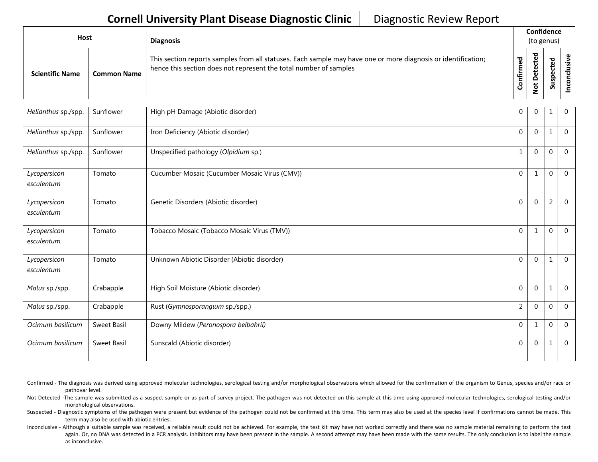| Host                   |                    | <b>Diagnosis</b>                                                                                                                                                                   |                             |                         | Confidence<br>(to genus) |  |
|------------------------|--------------------|------------------------------------------------------------------------------------------------------------------------------------------------------------------------------------|-----------------------------|-------------------------|--------------------------|--|
| <b>Scientific Name</b> | <b>Common Name</b> | This section reports samples from all statuses. Each sample may have one or more diagnosis or identification;<br>hence this section does not represent the total number of samples | $\mathbf{\sigma}$<br>onfirm | ᅙ<br>⊷<br>ى<br><u>۽</u> | ъ<br>௨<br>ے<br>S         |  |

| Helianthus sp./spp.        | Sunflower   | High pH Damage (Abiotic disorder)             | $\overline{0}$ | $\Omega$     | 1            | $\mathbf{0}$   |
|----------------------------|-------------|-----------------------------------------------|----------------|--------------|--------------|----------------|
| Helianthus sp./spp.        | Sunflower   | Iron Deficiency (Abiotic disorder)            | $\Omega$       | $\Omega$     | $\mathbf{1}$ | $\Omega$       |
| Helianthus sp./spp.        | Sunflower   | Unspecified pathology (Olpidium sp.)          | $\mathbf{1}$   | $\Omega$     | $\mathbf{0}$ | $\overline{0}$ |
| Lycopersicon<br>esculentum | Tomato      | Cucumber Mosaic (Cucumber Mosaic Virus (CMV)) | $\Omega$       | $\mathbf{1}$ | $\mathbf 0$  | $\Omega$       |
| Lycopersicon<br>esculentum | Tomato      | Genetic Disorders (Abiotic disorder)          | $\Omega$       | $\mathbf 0$  | 2            | $\mathbf 0$    |
| Lycopersicon<br>esculentum | Tomato      | Tobacco Mosaic (Tobacco Mosaic Virus (TMV))   | $\Omega$       | $\mathbf{1}$ | 0            | $\Omega$       |
| Lycopersicon<br>esculentum | Tomato      | Unknown Abiotic Disorder (Abiotic disorder)   | $\Omega$       | $\Omega$     | 1            | $\mathbf{0}$   |
| Malus sp./spp.             | Crabapple   | High Soil Moisture (Abiotic disorder)         | $\overline{0}$ | $\mathbf 0$  | $\mathbf{1}$ | $\mathbf{0}$   |
| Malus sp./spp.             | Crabapple   | Rust (Gymnosporangium sp./spp.)               | $\overline{2}$ | $\mathbf 0$  | $\mathbf 0$  | $\overline{0}$ |
| Ocimum basilicum           | Sweet Basil | Downy Mildew (Peronospora belbahrii)          | $\mathbf 0$    | $\mathbf{1}$ | $\mathbf{0}$ | $\Omega$       |
| Ocimum basilicum           | Sweet Basil | Sunscald (Abiotic disorder)                   | $\overline{0}$ | $\mathbf 0$  | $\mathbf{1}$ | $\mathbf{0}$   |

Confirmed - The diagnosis was derived using approved molecular technologies, serological testing and/or morphological observations which allowed for the confirmation of the organism to Genus, species and/or race or pathovar level.

Not Detected -The sample was submitted as a suspect sample or as part of survey project. The pathogen was not detected on this sample at this time using approved molecular technologies, serological testing and/or morphological observations.

Suspected - Diagnostic symptoms of the pathogen were present but evidence of the pathogen could not be confirmed at this time. This term may also be used at the species level if confirmations cannot be made. This term may also be used with abiotic entries.

Inconclusive - Although a suitable sample was received, a reliable result could not be achieved. For example, the test kit may have not worked correctly and there was no sample material remaining to perform the test again. Or, no DNA was detected in a PCR analysis. Inhibitors may have been present in the sample. A second attempt may have been made with the same results. The only conclusion is to label the sample as inconclusive.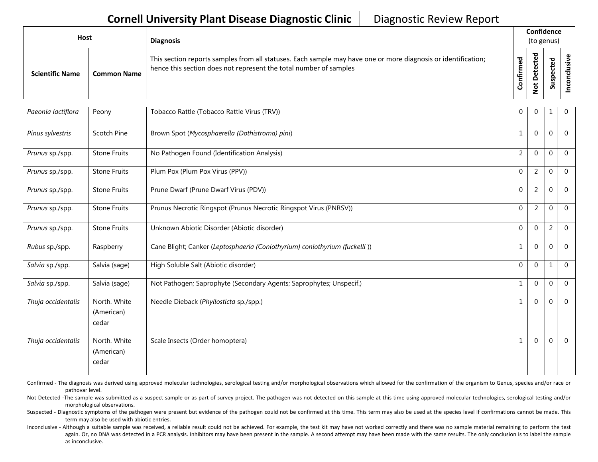| <b>Host</b>            |                    | <b>Diagnosis</b>                                                                                                                                                                   |               |                       | Confidence<br>(to genus)             |   |
|------------------------|--------------------|------------------------------------------------------------------------------------------------------------------------------------------------------------------------------------|---------------|-----------------------|--------------------------------------|---|
| <b>Scientific Name</b> | <b>Common Name</b> | This section reports samples from all statuses. Each sample may have one or more diagnosis or identification;<br>hence this section does not represent the total number of samples | ᇴ<br>tir<br>U | ᇃ<br>ω<br>پ<br>۰<br>∼ | ठ<br>ω<br>ن<br>ω<br>௨<br>s<br>Б<br>S | ں |

| Paeonia lactiflora | Peony                               | Tobacco Rattle (Tobacco Rattle Virus (TRV))                                | $\overline{0}$ | $\overline{0}$ | $\mathbf{1}$     | $\mathbf{0}$   |
|--------------------|-------------------------------------|----------------------------------------------------------------------------|----------------|----------------|------------------|----------------|
| Pinus sylvestris   | Scotch Pine                         | Brown Spot (Mycosphaerella (Dothistroma) pini)                             | 1              | $\Omega$       | $\mathbf{0}$     | $\Omega$       |
| Prunus sp./spp.    | <b>Stone Fruits</b>                 | No Pathogen Found (Identification Analysis)                                | $\overline{2}$ | $\mathbf 0$    | $\mathbf{0}$     | $\Omega$       |
| Prunus sp./spp.    | <b>Stone Fruits</b>                 | Plum Pox (Plum Pox Virus (PPV))                                            | $\mathbf 0$    | $\overline{2}$ | 0                | $\overline{0}$ |
| Prunus sp./spp.    | <b>Stone Fruits</b>                 | Prune Dwarf (Prune Dwarf Virus (PDV))                                      | $\overline{0}$ | 2              | $\mathbf 0$      | $\mathbf 0$    |
| Prunus sp./spp.    | <b>Stone Fruits</b>                 | Prunus Necrotic Ringspot (Prunus Necrotic Ringspot Virus (PNRSV))          | $\mathbf{0}$   | 2              | $\mathbf 0$      | $\mathbf 0$    |
| Prunus sp./spp.    | <b>Stone Fruits</b>                 | Unknown Abiotic Disorder (Abiotic disorder)                                | $\overline{0}$ | $\mathbf 0$    | $\overline{c}$   | $\mathbf 0$    |
| Rubus sp./spp.     | Raspberry                           | Cane Blight; Canker (Leptosphaeria (Coniothyrium) coniothyrium (fuckelli)) | $\mathbf{1}$   | $\Omega$       | $\mathbf 0$      | $\Omega$       |
| Salvia sp./spp.    | Salvia (sage)                       | High Soluble Salt (Abiotic disorder)                                       | $\Omega$       | $\mathbf 0$    | 1                | $\Omega$       |
| Salvia sp./spp.    | Salvia (sage)                       | Not Pathogen; Saprophyte (Secondary Agents; Saprophytes; Unspecif.)        | 1              | $\mathbf 0$    | $\boldsymbol{0}$ | $\mathbf 0$    |
| Thuja occidentalis | North. White<br>(American)<br>cedar | Needle Dieback (Phyllosticta sp./spp.)                                     | 1              | $\mathbf 0$    | 0                | $\overline{0}$ |
| Thuja occidentalis | North. White<br>(American)<br>cedar | Scale Insects (Order homoptera)                                            | 1              | $\mathbf 0$    | $\boldsymbol{0}$ | $\overline{0}$ |

Confirmed - The diagnosis was derived using approved molecular technologies, serological testing and/or morphological observations which allowed for the confirmation of the organism to Genus, species and/or race or pathovar level.

Not Detected -The sample was submitted as a suspect sample or as part of survey project. The pathogen was not detected on this sample at this time using approved molecular technologies, serological testing and/or morphological observations.

Suspected - Diagnostic symptoms of the pathogen were present but evidence of the pathogen could not be confirmed at this time. This term may also be used at the species level if confirmations cannot be made. This term may also be used with abiotic entries.

Inconclusive - Although a suitable sample was received, a reliable result could not be achieved. For example, the test kit may have not worked correctly and there was no sample material remaining to perform the test again. Or, no DNA was detected in a PCR analysis. Inhibitors may have been present in the sample. A second attempt may have been made with the same results. The only conclusion is to label the sample as inconclusive.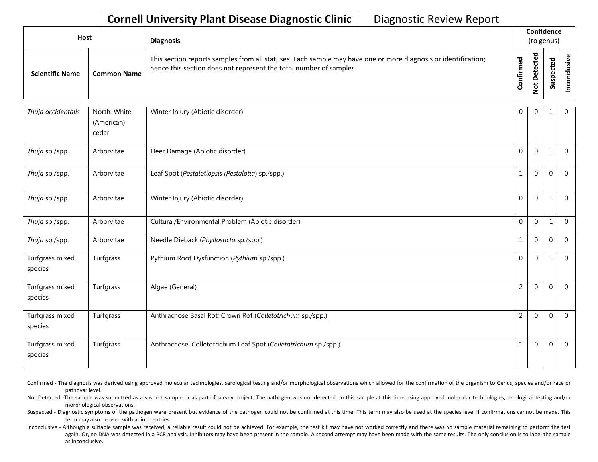| Host                   |                    | <b>Diagnosis</b>                                                                                                                                                                   |          |                        | Confidence<br>(to genus) |  |  |
|------------------------|--------------------|------------------------------------------------------------------------------------------------------------------------------------------------------------------------------------|----------|------------------------|--------------------------|--|--|
| <b>Scientific Name</b> | <b>Common Name</b> | This section reports samples from all statuses. Each sample may have one or more diagnosis or identification;<br>hence this section does not represent the total number of samples | onfirmed | ᅙ<br>ى<br>ى<br>$\circ$ | ъ<br>ဒ္ဓ<br>వె           |  |  |

| Thuja occidentalis         | North. White<br>(American)<br>cedar | Winter Injury (Abiotic disorder)                                | $\mathbf{0}$   | $\mathbf 0$  | 1                | $\mathbf{0}$   |
|----------------------------|-------------------------------------|-----------------------------------------------------------------|----------------|--------------|------------------|----------------|
| Thuja sp./spp.             | Arborvitae                          | Deer Damage (Abiotic disorder)                                  | $\overline{0}$ | $\mathbf 0$  | $\mathbf{1}$     | $\overline{0}$ |
| Thuja sp./spp.             | Arborvitae                          | Leaf Spot (Pestalotiopsis (Pestalotia) sp./spp.)                | 1              | $\mathbf{0}$ | $\mathbf 0$      | $\Omega$       |
| Thuja sp./spp.             | Arborvitae                          | Winter Injury (Abiotic disorder)                                | $\Omega$       | $\Omega$     | $\mathbf{1}$     | $\mathbf{0}$   |
| Thuja sp./spp.             | Arborvitae                          | Cultural/Environmental Problem (Abiotic disorder)               | $\Omega$       | $\mathbf 0$  | $1\,$            | $\mathbf 0$    |
| Thuja sp./spp.             | Arborvitae                          | Needle Dieback (Phyllosticta sp./spp.)                          | 1              | $\Omega$     | $\mathbf 0$      | $\Omega$       |
| Turfgrass mixed<br>species | Turfgrass                           | Pythium Root Dysfunction (Pythium sp./spp.)                     | $\mathbf 0$    | $\mathbf 0$  | 1                | $\mathbf 0$    |
| Turfgrass mixed<br>species | Turfgrass                           | Algae (General)                                                 | $\overline{2}$ | $\mathbf 0$  | $\boldsymbol{0}$ | $\mathbf 0$    |
| Turfgrass mixed<br>species | Turfgrass                           | Anthracnose Basal Rot; Crown Rot (Colletotrichum sp./spp.)      | $\overline{2}$ | $\mathbf 0$  | $\mathbf{0}$     | $\overline{0}$ |
| Turfgrass mixed<br>species | Turfgrass                           | Anthracnose; Colletotrichum Leaf Spot (Colletotrichum sp./spp.) | 1              | $\Omega$     | $\mathbf{0}$     | $\Omega$       |

Confirmed - The diagnosis was derived using approved molecular technologies, serological testing and/or morphological observations which allowed for the confirmation of the organism to Genus, species and/or race or pathovar level.

Not Detected -The sample was submitted as a suspect sample or as part of survey project. The pathogen was not detected on this sample at this time using approved molecular technologies, serological testing and/or morphological observations.

Suspected - Diagnostic symptoms of the pathogen were present but evidence of the pathogen could not be confirmed at this time. This term may also be used at the species level if confirmations cannot be made. This term may also be used with abiotic entries.

Inconclusive - Although a suitable sample was received, a reliable result could not be achieved. For example, the test kit may have not worked correctly and there was no sample material remaining to perform the test again. Or, no DNA was detected in a PCR analysis. Inhibitors may have been present in the sample. A second attempt may have been made with the same results. The only conclusion is to label the sample as inconclusive.